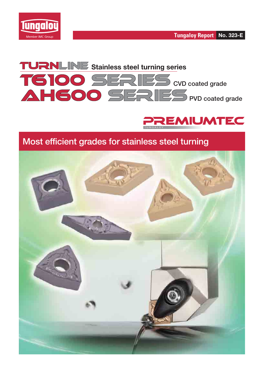







## **Most efficient grades for stainless steel turning**

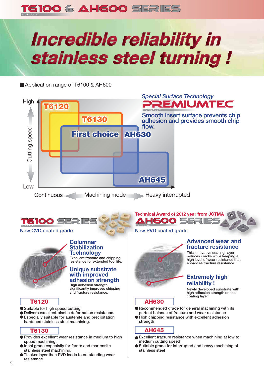

# *Incredible reliability in* stainless steel turning !

Application range of T6100 & AH600



- **Ideal grade especially for ferrite and martensite stainless steel machining.**
- **Thicker layer than PVD leads to outstanding wear resistance.**

**Suitable grade for interrupted and heavy machining of stainless steel**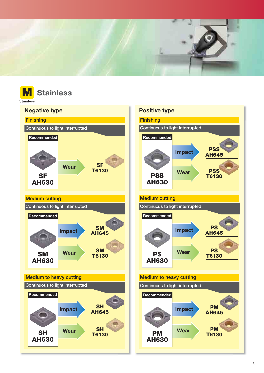



**Stainless** 

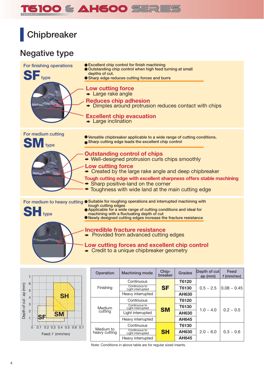# 5100 & AH600 SERIES

# **Chipbreaker**

## **Negative type**





| Operation                  | <b>Machining mode</b>              | Chip-<br>breaker | Grades       | Depth of cut<br>ap (mm) | Feed<br>f (mm/rev) |
|----------------------------|------------------------------------|------------------|--------------|-------------------------|--------------------|
|                            | Continuous                         |                  | T6120        |                         |                    |
| Finishing                  | Continuous to<br>Light interrupted | <b>SF</b>        | T6130        | $0.5 \sim 2.5$          | $0.08 \sim 0.45$   |
|                            | Heavy interrupted<br>Continuous    | <b>AH630</b>     |              |                         |                    |
|                            |                                    |                  | T6120        |                         |                    |
| Medium                     | Continuous to<br>Light interrupted | <b>SM</b>        | T6130        | $1.0 - 4.0$             | $0.2 \sim 0.5$     |
| cutting                    | Light interrupted                  |                  | AH630        |                         |                    |
|                            | Heavy interrupted                  |                  | AH645        |                         |                    |
|                            | Continuous                         |                  | T6130        |                         |                    |
| Medium to<br>heavy cutting | Continuous to<br>Light interrupted | <b>SH</b>        | <b>AH630</b> | $2.0 - 6.0$             | $0.3 - 0.6$        |
|                            | Heavy interrupted                  |                  | <b>AH645</b> |                         |                    |

Note: Conditions in above table are for regular sized inserts.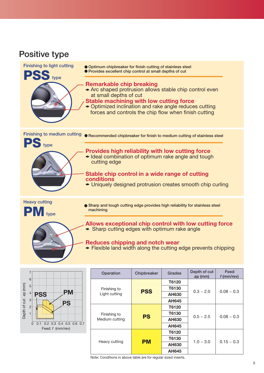## **Positive type**

3 2 1



![](_page_4_Figure_2.jpeg)

Note: Conditions in above table are for regular sized inserts.

**AH645**

 $0.5 \sim 2.5$  0.08  $\sim 0.3$ 

 $1.0 \sim 3.0$  0.15 ~ 0.3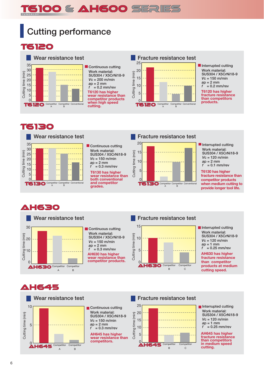# **6100 & AH600 SERIES**

# **Cutting performance**

**T6120** 

![](_page_5_Figure_3.jpeg)

## **TE130**

![](_page_5_Figure_5.jpeg)

**Continuous cutting Work material: SUS304 / X5CrNi18-9** *V***c = 150 m/min** *a***p = 2 mm**  $f = 0.3$  mm/rev

**T6130 has higher wear resistance than both conventional and competitor grades.** Conventional **and competitor**<br> **Conventional Competitor Competitor Conventional**<br> **Conventional** B

![](_page_5_Figure_8.jpeg)

5

 $\Omega$ 

#### **Interrupted cutting Work material: SUS304 / X5CrNi18-9** *V***c = 120 m/min** *a***p = 2 mm** *f* **= 0.1 mm/rev**

**T6130 has higher fracture resistance than competitor products when medium cutting to provide longer tool life.**

## **AH630**

![](_page_5_Figure_12.jpeg)

**Continuous cutting Work material: SUS304 / X5CrNi18-9** *V***c = 150 m/min** *a***p = 2 mm**  $f = 0.3$  mm/rev **AH630 has higher wear resistance than competitor products.**

## **Wear resistance test Fracture resistance test**

![](_page_5_Figure_15.jpeg)

**Interrupted cutting Work material: SUS304 / X5CrNi18-9** *V***c = 120 m/min** *a***p = 1 mm**  $f = 0.25$  mm/rev

**AH630 has higher fracture resistance than competitor products at medium cutting speed.**

## **AH645**

![](_page_5_Figure_19.jpeg)

![](_page_5_Figure_20.jpeg)

**AH645 has higher wear resistance than competitors.**

![](_page_5_Figure_22.jpeg)

![](_page_5_Figure_23.jpeg)

**Interrupted cutting Work material: SUS304 / X5CrNi18-9** *V***c = 120 m/min** *a***p = 1 mm** *f* **= 0.25 mm/rev**

**AH645 has higher fracture resistance than competitors in medium speed**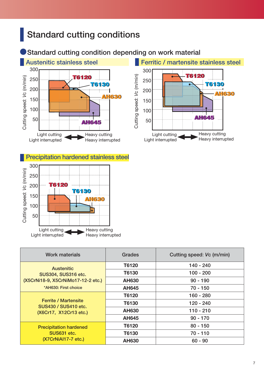# **Standard cutting conditions**

## **Standard cutting condition depending on work material**

![](_page_6_Figure_2.jpeg)

## 300 **Precipitation hardened stainless steel**

![](_page_6_Figure_4.jpeg)

| Work materials                                      | Grades       | Cutting speed: Vc (m/min) |
|-----------------------------------------------------|--------------|---------------------------|
| <b>Austenitic</b>                                   | T6120        | 140 - 240                 |
| <b>SUS304, SUS316 etc.</b>                          | T6130        | $100 - 200$               |
| (X5CrNi18-9, X5CrNiMo17-12-2 etc.)                  | <b>AH630</b> | $90 - 190$                |
| *AH630: First choice                                | AH645        | $70 - 150$                |
|                                                     | T6120        | $160 - 280$               |
| <b>Ferrite / Martensite</b><br>SUS430 / SUS410 etc. | T6130        | $120 - 240$               |
| (X6Cr17, X12Cr13 etc.)                              | <b>AH630</b> | $110 - 210$               |
|                                                     | AH645        | $90 - 170$                |
| <b>Precipitation hardened</b>                       | T6120        | $80 - 150$                |
| SUS631 etc.                                         | T6130        | 70 - 110                  |
| (X7CrNiAl17-7 etc.)                                 | <b>AH630</b> | $60 - 90$                 |

![](_page_6_Figure_6.jpeg)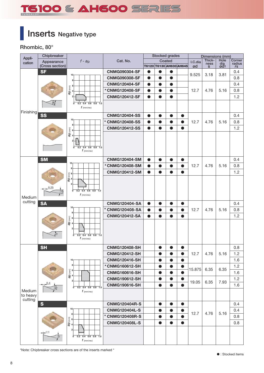# T5100 & AH600 SERIES

# **Inserts Negative type**

**Rhombic, 80°**

| Appli-    | Chipbreaker     |                                                         |                           |           | <b>Stocked grades</b> |           |                                |         |                | Dimensions (mm) |                  |
|-----------|-----------------|---------------------------------------------------------|---------------------------|-----------|-----------------------|-----------|--------------------------------|---------|----------------|-----------------|------------------|
| cation    | Appearance      | $f - ap$                                                | Cat. No.                  |           |                       | Coated    |                                | I.C.dia | Thick-<br>ness | Hole            | Corner<br>radius |
|           | (Cross section) |                                                         |                           |           |                       |           | <b>Т6120 Т6130 АН630 АН645</b> | ød      | s              | dia<br>ød1      | $r\epsilon$      |
|           | <b>SF</b>       | 10 <sub>1</sub>                                         | <b>CNMG090304-SF</b>      | 0         | O                     | $\bullet$ |                                | 9.525   | 3.18           | 3.81            | 0.4              |
|           |                 | 8                                                       | <b>CNMG090308-SF</b>      | $\bullet$ |                       | $\bullet$ |                                |         |                |                 | 0.8              |
|           |                 | 6                                                       | <b>CNMG120404-SF</b>      | $\bullet$ | $\bullet$             | $\bullet$ |                                |         |                |                 | 0.4              |
|           |                 | ap <sub>(mm)</sub>                                      | *CNMG120408-SF            |           |                       | $\bullet$ |                                | 12.7    | 4.76           | 5.16            | 0.8              |
|           |                 | 2                                                       | <b>CNMG120412-SF</b>      | $\bullet$ | $\bullet$             | $\bullet$ |                                |         |                |                 | 1.2              |
|           | $\frac{8}{7}$   | $0.2$ 0.4 0.6 0.8 1.0<br>ō                              |                           |           |                       |           |                                |         |                |                 |                  |
| Finishing |                 | $f$ (mm/rev)                                            |                           |           |                       |           |                                |         |                |                 |                  |
|           | SS              |                                                         | <b>CNMG120404-SS</b>      | $\bullet$ | $\bullet$             | $\bullet$ | $\bullet$                      |         |                |                 | 0.4              |
|           |                 | 10 <sub>1</sub><br>8                                    | *<br><b>CNMG120408-SS</b> |           |                       |           | $\bullet$                      | 12.7    | 4.76           | 5.16            | 0.8              |
|           |                 |                                                         | <b>CNMG120412-SS</b>      | $\bullet$ | $\bullet$             | $\bullet$ | $\bullet$                      |         |                |                 | 1.2              |
|           |                 | $\begin{bmatrix} 2 & 3 \\ 2 & 4 \end{bmatrix}$          |                           |           |                       |           |                                |         |                |                 |                  |
|           |                 | 2                                                       |                           |           |                       |           |                                |         |                |                 |                  |
|           |                 | $0.4$ 0.6 0.8 1.0<br>0.2<br>ō                           |                           |           |                       |           |                                |         |                |                 |                  |
|           |                 | $f$ (mm/rev)                                            |                           |           |                       |           |                                |         |                |                 |                  |
|           | <b>SM</b>       |                                                         | <b>CNMG120404-SM</b>      | D         | $\bullet$             | $\bullet$ | $\bullet$                      |         |                |                 | 0.4              |
|           |                 | 10<br>8                                                 | *CNMG120408-SM            | $\bullet$ | $\bullet$             | $\bullet$ | $\bullet$                      | 12.7    | 4.76           | 5.16            | 0.8              |
|           |                 |                                                         | <b>CNMG120412-SM</b>      | $\bullet$ | $\bullet$             | $\bullet$ | $\bullet$                      |         |                |                 | 1.2              |
|           |                 | $rac{1}{\sqrt{2}}$                                      |                           |           |                       |           |                                |         |                |                 |                  |
|           |                 | $\overline{2}$                                          |                           |           |                       |           |                                |         |                |                 |                  |
|           | 0.25            | $0.2$ $0.4$ $0.6$ $0.8$ $1.0$<br>ō                      |                           |           |                       |           |                                |         |                |                 |                  |
| Medium    |                 | $f$ (mm/rev)                                            |                           |           |                       |           |                                |         |                |                 |                  |
| cutting   | <b>SA</b>       |                                                         | <b>CNMG120404-SA</b>      | $\bullet$ | $\bullet$             | $\bullet$ | $\bullet$                      |         |                |                 | 0.4              |
|           |                 | 10 <sub>1</sub>                                         | <b>CNMG120408-SA</b>      |           |                       | 0         | $\bullet$                      | 12.7    | 4.76           | 5.16            | 0.8              |
|           |                 | 8                                                       | <b>CNMG120412-SA</b>      | $\bullet$ | $\bullet$             | $\bullet$ | $\bullet$                      |         |                |                 | 1.2              |
|           |                 | ap (mm)<br>a<br>4                                       |                           |           |                       |           |                                |         |                |                 |                  |
|           |                 |                                                         |                           |           |                       |           |                                |         |                |                 |                  |
|           |                 | $0.4$ 0.6 0.8 1.0<br>$\overline{0.2}$<br>$\overline{0}$ |                           |           |                       |           |                                |         |                |                 |                  |
|           |                 | $f$ (mm/rev)                                            |                           |           |                       |           |                                |         |                |                 |                  |
|           | <b>SH</b>       |                                                         | <b>CNMG120408-SH</b>      |           |                       |           |                                |         |                |                 | 0.8              |
|           |                 |                                                         | <b>CNMG120412-SH</b>      |           | $\bullet$             | $\bullet$ | $\bullet$                      | 12.7    | 4.76           | 5.16            | 1.2              |
|           |                 | 10 <sub>1</sub>                                         | <b>CNMG120416-SH</b>      |           |                       |           | $\bullet$                      |         |                |                 | 1.6              |
|           |                 | 8                                                       | *CNMG160612-SH            |           | $\bullet$             | $\bullet$ | $\bullet$                      |         |                |                 | 1.2              |
|           |                 | $\begin{bmatrix} 1 \\ 2 \\ 3 \\ 4 \end{bmatrix}$        | <b>CNMG160616-SH</b>      |           | $\bullet$             | $\bullet$ | $\bullet$                      | 15.875  | 6.35           | 6.35            | 1.6              |
|           |                 |                                                         | <b>CNMG190612-SH</b>      |           | $\bullet$             | $\bullet$ | $\bullet$                      |         |                |                 | 1.2              |
|           | 0.4             | $\overline{2}$                                          | <b>CNMG190616-SH</b>      |           | $\bullet$             | $\bullet$ | $\bullet$                      | 19.05   | 6.35           | 7.93            | 1.6              |
| Medium    | )ွိ             | $0.2$ 0.4 0.6 0.8 1.0<br>$\overline{0}$<br>$f$ (mm/rev) |                           |           |                       |           |                                |         |                |                 |                  |
| to heavy  |                 |                                                         |                           |           |                       |           |                                |         |                |                 |                  |
| cutting   | S               |                                                         | <b>CNMG120404R-S</b>      |           | $\bullet$             | $\bullet$ | $\bullet$                      |         |                |                 | 0.4              |
|           |                 | 10                                                      | <b>CNMG120404L-S</b>      |           | $\bullet$             | $\bullet$ | $\bullet$                      |         |                |                 | 0.4              |
|           |                 | 8                                                       | * CNMG120408R-S           |           | $\bullet$             | $\bullet$ | $\bullet$                      | 12.7    | 4.76           | 5.16            | 0.8              |
|           |                 | ap (mm)<br>6                                            | <b>CNMG120408L-S</b>      |           | $\bullet$             | $\bullet$ | $\bullet$                      |         |                |                 | 0.8              |
|           |                 | $\overline{4}$                                          |                           |           |                       |           |                                |         |                |                 |                  |
|           | 0.15            | $0$ $0.2$ $0.4$ $0.6$ $0.8$ $1.0$                       |                           |           |                       |           |                                |         |                |                 |                  |
|           |                 | $f$ (mm/rev)                                            |                           |           |                       |           |                                |         |                |                 |                  |

\*Note: Chipbreaker cross sections are of the inserts marked \*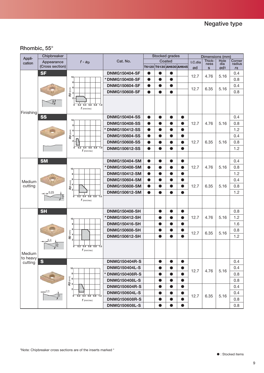## **Rhombic, 55°**

| Appli-             | Chipbreaker     |                                                               |                      |           |           | Stocked grades                 |           |         | Dimensions (mm) |                 |                  |
|--------------------|-----------------|---------------------------------------------------------------|----------------------|-----------|-----------|--------------------------------|-----------|---------|-----------------|-----------------|------------------|
| cation             | Appearance      | $f - ap$                                                      | Cat. No.             |           |           | Coated                         |           | I.C.dia | Thick-<br>ness  | Hole<br>dia     | Corner<br>radius |
|                    | (Cross section) |                                                               |                      |           |           | <b>Т6120 Т6130 АН630 АН645</b> |           | ød      | s               | ød <sub>1</sub> | $r\epsilon$      |
|                    | <b>SF</b>       |                                                               | <b>DNMG150404-SF</b> | $\bullet$ | $\bullet$ | $\bullet$                      |           | 12.7    | 4.76            | 5.16            | 0.4              |
|                    |                 | 10 <sub>1</sub><br>8                                          | *DNMG150408-SF       | $\bullet$ | $\bullet$ | $\bullet$                      |           |         |                 |                 | 0.8              |
|                    |                 |                                                               | <b>DNMG150604-SF</b> | ð         |           | $\bullet$                      |           |         |                 |                 | 0.4              |
|                    |                 | $\begin{bmatrix} 1 & 1 \\ 0 & 0 \\ 0 & 0 \end{bmatrix}$       | <b>DNMG150608-SF</b> | $\bullet$ | $\bullet$ | $\bullet$                      |           | 12.7    | 6.35            | 5.16            | 0.8              |
| Finishing          | 87              | 2 <br>$0.2$ 0.4 0.6 0.8 1.0<br>$\overline{0}$<br>$f$ (mm/rev) |                      |           |           |                                |           |         |                 |                 |                  |
|                    | <b>SS</b>       | 10 <sub>1</sub>                                               | <b>DNMG150404-SS</b> | $\bullet$ |           | $\bullet$                      | $\bullet$ |         |                 |                 | 0.4              |
|                    |                 | 8                                                             | <b>DNMG150408-SS</b> | $\bullet$ |           | $\bullet$                      | $\bullet$ | 12.7    | 4.76            | 5.16            | 0.8              |
|                    |                 |                                                               | * DNMG150412-SS      | $\bullet$ | $\bullet$ | $\bullet$                      | $\bullet$ |         |                 |                 | 1.2              |
|                    |                 | $\mathbf{a}_{\mathbf{p}}^{(\text{mm})}$                       | <b>DNMG150604-SS</b> | $\bullet$ |           | $\bullet$                      | $\bullet$ |         |                 |                 | 0.4              |
|                    |                 | 2 <sup>1</sup>                                                | <b>DNMG150608-SS</b> | $\bullet$ | $\bullet$ | $\bullet$                      | $\bullet$ | 12.7    | 6.35            | 5.16            | 0.8              |
|                    |                 | $0.2$ 0.4 0.6 0.8 1.0<br>$\overline{0}$<br>$f$ (mm/rev)       | <b>DNMG150612-SS</b> | $\bullet$ | $\bullet$ | $\bullet$                      | $\bullet$ |         |                 |                 | 1.2              |
|                    |                 |                                                               |                      |           |           |                                |           |         |                 |                 |                  |
|                    | <b>SM</b>       |                                                               | <b>DNMG150404-SM</b> | $\bullet$ | $\bullet$ | $\bullet$                      | $\bullet$ |         |                 |                 | 0.4              |
|                    |                 | 10 <sub>1</sub>                                               | *DNMG150408-SM       | $\bullet$ |           | $\bullet$                      | $\bullet$ | 12.7    | 4.76            | 5.16            | 0.8              |
|                    |                 | 8 <sup>1</sup>                                                | <b>DNMG150412-SM</b> | 0         |           | $\bullet$                      | $\bullet$ |         |                 |                 | 1.2              |
| Medium             |                 | 6                                                             | <b>DNMG150604-SM</b> | $\bullet$ | $\bullet$ | $\bullet$                      | $\bullet$ |         |                 |                 | 0.4              |
| cutting            |                 | $\widehat{\widetilde{\epsilon}}$ 4<br>$\frac{a}{a}$           | <b>DNMG150608-SM</b> | $\bullet$ |           | $\bullet$                      | $\bullet$ | 12.7    | 6.35            | 5.16            | 0.8              |
|                    | 0.25            |                                                               | <b>DNMG150612-SM</b> | $\bullet$ | $\bullet$ | $\bullet$                      | $\bullet$ |         |                 |                 | 1.2              |
|                    | 10 <sub>o</sub> | ൳<br>$0.2$ $0.4$ $0.6$ $0.8$ $1.0$<br>$f$ (mm/rev)            |                      |           |           |                                |           |         |                 |                 |                  |
|                    | <b>SH</b>       |                                                               | <b>DNMG150408-SH</b> |           | $\bullet$ | $\bullet$                      | $\bullet$ |         |                 |                 | 0.8              |
|                    |                 | 10 <sub>1</sub>                                               | *DNMG150412-SH       |           |           | $\bullet$                      | $\bullet$ | 12.7    | 4.76            | 5.16            | 1.2              |
|                    |                 | 8                                                             | <b>DNMG150416-SH</b> |           |           | $\bullet$                      | $\bullet$ |         |                 |                 | 1.6              |
|                    |                 | 6                                                             | <b>DNMG150608-SH</b> |           | $\bullet$ | $\bullet$                      | $\bullet$ | 12.7    | 6.35            | 5.16            | 0.8              |
|                    |                 | $a_{\mathsf{p}}$ (mm)                                         | <b>DNMG150612-SH</b> |           | $\bullet$ | $\bullet$                      | $\bullet$ |         |                 |                 | 1.2              |
| Medium<br>to heavy |                 | ᠳ<br>$0.2$ $0.4$ $0.6$ $0.8$ 1.0<br>$f$ (mm/rev)              |                      |           |           |                                |           |         |                 |                 |                  |
| cutting            | $\mathbf{s}$    |                                                               | <b>DNMG150404R-S</b> |           | $\bullet$ | $\bullet$                      | $\bullet$ |         |                 |                 | 0.4              |
|                    |                 | 10 <sub>1</sub>                                               | <b>DNMG150404L-S</b> |           | $\bullet$ | $\bullet$                      | $\bullet$ | 12.7    | 4.76            | 5.16            | 0.4              |
|                    |                 | 8                                                             | * DNMG150408R-S      |           |           | 0                              | $\bullet$ |         |                 |                 | 0.8              |
|                    |                 | $\widehat{\widetilde{\mathsf{E}}}$ 6<br>$\overline{a}$ 4      | <b>DNMG150408L-S</b> |           | $\bullet$ | $\bullet$                      | $\bullet$ |         |                 |                 | 0.8              |
|                    |                 | $\overline{2}$                                                | <b>DNMG150604R-S</b> |           | $\bullet$ | $\bullet$                      | $\bullet$ |         |                 |                 | 0.4              |
|                    | $-14$ 0.15      | $0.2$ $0.4$ $0.6$ $0.8$ $1.0$<br>$\overline{\sigma}$          | <b>DNMG150604L-S</b> |           | $\bullet$ | $\bullet$                      | $\bullet$ | 12.7    | 6.35            | 5.16            | 0.4              |
|                    |                 | $f$ (mm/rev)                                                  | <b>DNMG150608R-S</b> |           | $\bullet$ | $\bullet$                      | $\bullet$ |         |                 |                 | 0.8              |
|                    |                 |                                                               | <b>DNMG150608L-S</b> |           | $\bullet$ | $\bullet$                      | $\bullet$ |         |                 |                 | 0.8              |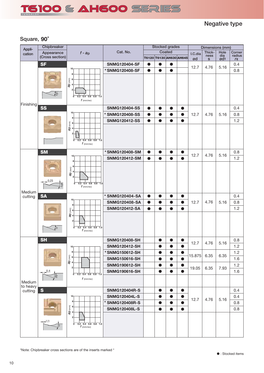![](_page_9_Picture_0.jpeg)

## **Negative type**

## **Square, 90**°

| Appli-             | Chipbreaker     |                                                                                                             |                                |           |           | <b>Stocked grades</b>          |           |         | Dimensions (mm)      |                        |                  |
|--------------------|-----------------|-------------------------------------------------------------------------------------------------------------|--------------------------------|-----------|-----------|--------------------------------|-----------|---------|----------------------|------------------------|------------------|
| cation             | Appearance      | $f - ap$                                                                                                    | Cat. No.                       |           |           | Coated                         |           | I.C.dia | Thick-               | Hole                   | Corner<br>radius |
|                    | (Cross section) |                                                                                                             |                                |           |           | <b>T6120 T6130 АН630 АН645</b> |           | ød      | ness<br>$\mathbf{s}$ | dia<br>ød <sub>1</sub> | $r \varepsilon$  |
|                    | <b>SF</b>       |                                                                                                             | <b>SNMG120404-SF</b>           | $\bullet$ | $\bullet$ | $\bullet$                      |           | 12.7    | 4.76                 | 5.16                   | 0.4              |
|                    |                 | 10 <sub>1</sub>                                                                                             | *SNMG120408-SF                 | $\bullet$ |           | Q                              |           |         |                      |                        | 0.8              |
| Finishing          | 750             | ap (mm)<br>4<br>4<br>$\overline{2}$<br>$0.4$ 0.6 0.8 1.0<br>ō<br>0.2<br>$f$ (mm/rev)                        |                                |           |           |                                |           |         |                      |                        |                  |
|                    | <b>SS</b>       |                                                                                                             | <b>SNMG120404-SS</b>           |           |           |                                | $\bullet$ |         |                      |                        | 0.4              |
|                    |                 | 10                                                                                                          | * SNMG120408-SS                | $\bullet$ |           | $\bullet$                      | $\bullet$ | 12.7    | 4.76                 | 5.16                   | 0.8              |
|                    |                 | 8<br>6                                                                                                      | <b>SNMG120412-SS</b>           | $\bullet$ | $\bullet$ | $\bullet$                      | $\bullet$ |         |                      |                        | 1.2              |
|                    |                 | $\mathbf{a}$ (mm)<br>$\mathbf{a}$ 4<br>$\overline{2}$<br>$0.2$ $0.4$ $0.6$ $0.8$ $1.0$<br>ō<br>$f$ (mm/rev) |                                |           |           |                                |           |         |                      |                        |                  |
|                    | <b>SM</b>       |                                                                                                             | *SNMG120408-SM                 | $\bullet$ | $\bullet$ | $\bullet$                      | $\bullet$ |         |                      |                        | 0.8              |
|                    |                 | 10 <sub>1</sub>                                                                                             | <b>SNMG120412-SM</b>           | ●         |           | $\bullet$                      |           | 12.7    | 4.76                 | 5.16                   | 1.2              |
|                    |                 | 8                                                                                                           |                                |           |           |                                |           |         |                      |                        |                  |
| Medium             | 0.25            | 6<br>ap (mm)<br>$\overline{\mathbf{4}}$<br>$\overline{2}$<br>$0.2$ 0.4 0.6 0.8 1.0<br>ō<br>$f$ (mm/rev)     |                                |           |           |                                |           |         |                      |                        |                  |
| cutting            | <b>SA</b>       |                                                                                                             | * SNMG120404-SA                |           |           | $\bullet$                      | $\bullet$ |         |                      |                        | 0.4              |
|                    |                 | 10 <sub>1</sub>                                                                                             | <b>SNMG120408-SA</b>           | ●         |           | $\bullet$                      | $\bullet$ | 12.7    | 4.76                 | 5.16                   | 0.8              |
|                    |                 | 8                                                                                                           | <b>SNMG120412-SA</b>           | $\bullet$ |           | $\bullet$                      | $\bullet$ |         |                      |                        | 1.2              |
|                    | $78^\circ$      | $\begin{bmatrix} 1 \\ 2 \\ 3 \\ 4 \end{bmatrix}$<br>$0.2$ $0.4$ $0.6$ $0.8$ $1.0$<br>ō<br>$f$ (mm/rev)      |                                |           |           |                                |           |         |                      |                        |                  |
|                    | <b>SH</b>       |                                                                                                             | <b>SNMG120408-SH</b>           |           |           |                                |           | 12.7    | 4.76                 | 5.16                   | 0.8              |
|                    |                 | 10 <sub>1</sub>                                                                                             | <b>SNMG120412-SH</b>           |           |           | ●                              | $\bullet$ |         |                      |                        | 1.2              |
|                    |                 | 8                                                                                                           | *SNMG150612-SH                 |           | $\bullet$ | $\bullet$                      | $\bullet$ | 15.875  | 6.35                 | 6.35                   | 1.2              |
|                    |                 | $\frac{a_{\text{D}}}{a}$                                                                                    | <b>SNMG150616-SH</b>           |           | $\bullet$ | $\bullet$                      | $\bullet$ |         |                      |                        | 1.6              |
|                    |                 | 2                                                                                                           | <b>SNMG190612-SH</b>           |           |           |                                | $\bullet$ | 19.05   | 6.35                 | 7.93                   | 1.2              |
|                    | 0.4             | $0$ 0.2 0.4 0.6 0.8 1.0                                                                                     | <b>SNMG190616-SH</b>           |           | $\bullet$ | $\bullet$                      | $\bullet$ |         |                      |                        | 1.6              |
| Medium<br>to heavy | $\frac{1}{20}$  | $f$ (mm/rev)                                                                                                |                                |           |           |                                |           |         |                      |                        |                  |
| cutting            | $\mathbf{s}$    |                                                                                                             | <b>SNMG120404R-S</b>           |           | $\bullet$ | $\bullet$                      | $\bullet$ |         |                      |                        | 0.4              |
|                    |                 | 10 <sub>1</sub>                                                                                             | <b>SNMG120404L-S</b>           |           | $\bullet$ | $\bullet$                      | $\bullet$ | 12.7    | 4.76                 | 5.16                   | 0.4              |
|                    |                 | 8                                                                                                           | $\ast$<br><b>SNMG120408R-S</b> |           | $\bullet$ | $\bullet$                      | $\bullet$ |         |                      |                        | 0.8              |
|                    |                 | $\mathbf{a}$ (mm)<br>$\mathbf{a}$ 4                                                                         | <b>SNMG120408L-S</b>           |           | $\bullet$ | $\bullet$                      | $\bullet$ |         |                      |                        | 0.8              |
|                    | 0.15            | $\overline{2}$<br>$0.4$ 0.6 0.8 1.0<br>ō<br>0.2<br>$f$ (mm/rev)                                             |                                |           |           |                                |           |         |                      |                        |                  |

\*Note: Chipbreaker cross sections are of the inserts marked \*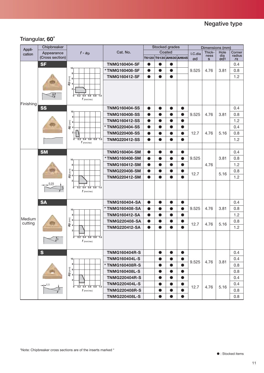## **Triangular, 60**°

| Appli-    | Chipbreaker     |                                                                                                       |                      |           |           | <b>Stocked grades</b> |                                |         | Dimensions (mm) |                        |                       |
|-----------|-----------------|-------------------------------------------------------------------------------------------------------|----------------------|-----------|-----------|-----------------------|--------------------------------|---------|-----------------|------------------------|-----------------------|
| cation    | Appearance      | $f - ap$                                                                                              | Cat. No.             |           |           | Coated                |                                | I.C.dia | Thick-          | Hole                   | Corner                |
|           | (Cross section) |                                                                                                       |                      |           |           |                       | <b>Т6120 Т6130 АН630 АН645</b> | ød      | ness<br>s.      | dia<br>ød <sub>1</sub> | radius<br>$r\epsilon$ |
|           | <b>SF</b>       |                                                                                                       | <b>TNMG160404-SF</b> | $\bullet$ | $\bullet$ | $\bullet$             |                                |         |                 |                        | 0.4                   |
|           |                 | 10 <sub>1</sub>                                                                                       | *TNMG160408-SF       | $\bullet$ | $\bullet$ | $\bullet$             |                                | 9.525   | 4.76            | 3.81                   | 0.8                   |
|           |                 | 8                                                                                                     | <b>TNMG160412-SF</b> | $\bullet$ |           | $\bullet$             |                                |         |                 |                        | 1.2                   |
|           |                 | $\begin{array}{c} \mathbf{a} \\ \mathbf{b} \\ \mathbf{c} \\ \mathbf{a} \end{array}$<br>$\overline{2}$ |                      |           |           |                       |                                |         |                 |                        |                       |
| Finishing | $\frac{8}{7}$   | $0.2$ $0.4$ $0.6$ $0.8$ $1.0$<br>ō<br>$f$ (mm/rev)                                                    |                      |           |           |                       |                                |         |                 |                        |                       |
|           | <b>SS</b>       |                                                                                                       | <b>TNMG160404-SS</b> | $\bullet$ | $\bullet$ | $\bullet$             | $\bullet$                      |         |                 |                        | 0.4                   |
|           |                 | 10 <sub>1</sub>                                                                                       | <b>TNMG160408-SS</b> | $\bullet$ |           | $\bullet$             | $\bullet$                      | 9.525   | 4.76            | 3.81                   | 0.8                   |
|           |                 | 8<br>6                                                                                                | <b>TNMG160412-SS</b> | $\bullet$ | $\bullet$ | $\bullet$             | $\bullet$                      |         |                 |                        | 1.2                   |
|           |                 | ap <sub>(mm)</sub>                                                                                    | * TNMG220404-SS      | $\bullet$ |           | $\bullet$             | $\bullet$                      |         |                 |                        | 0.4                   |
|           |                 | $\overline{2}$                                                                                        | <b>TNMG220408-SS</b> | $\bullet$ |           | $\bullet$             | $\bullet$                      | 12.7    | 4.76            | 5.16                   | 0.8                   |
|           |                 | $0.4$ 0.6 0.8 1.0<br>0.2<br>ō                                                                         | <b>TNMG220412-SS</b> | $\bullet$ | $\bullet$ | $\bullet$             | $\bullet$                      |         |                 |                        | 1.2                   |
|           |                 | $f$ (mm/rev)                                                                                          |                      |           |           |                       |                                |         |                 |                        |                       |
|           | <b>SM</b>       |                                                                                                       | <b>TNMG160404-SM</b> | $\bullet$ | $\bullet$ | $\bullet$             | $\bullet$                      |         |                 |                        | 0.4                   |
|           |                 | 10                                                                                                    | *TNMG160408-SM       | $\bullet$ | $\bullet$ | $\bullet$             | $\bullet$                      | 9.525   |                 | 3.81                   | 0.8                   |
|           |                 | 8                                                                                                     | <b>TNMG160412-SM</b> | $\bullet$ |           | $\bullet$             | $\bullet$                      |         | 4.76            |                        | 1.2                   |
|           |                 |                                                                                                       | <b>TNMG220408-SM</b> | $\bullet$ | $\bullet$ | $\bullet$             | $\bullet$                      |         |                 |                        | 0.8                   |
|           |                 | $\mathbf{a}$ $\begin{bmatrix} 6 \\ 4 \end{bmatrix}$                                                   | <b>TNMG220412-SM</b> | $\bullet$ | $\bullet$ | $\bullet$             | $\bullet$                      | 12.7    |                 | 5.16                   | 1.2                   |
|           | 0.25            |                                                                                                       |                      |           |           |                       |                                |         |                 |                        |                       |
|           | $\overline{p}$  | $0.2$ $0.4$ $0.6$ $0.8$ $1.0$<br>$\overline{0}$<br>$f$ (mm/rev)                                       |                      |           |           |                       |                                |         |                 |                        |                       |
|           | <b>SA</b>       |                                                                                                       | <b>TNMG160404-SA</b> | $\bullet$ | $\bullet$ | $\bullet$             | $\bullet$                      |         |                 |                        | 0.4                   |
|           |                 | 10 <sub>1</sub>                                                                                       | * TNMG160408-SA      | $\bullet$ | $\bullet$ | $\bullet$             | $\bullet$                      | 9.525   | 4.76            | 3.81                   | 0.8                   |
|           |                 | 8                                                                                                     | <b>TNMG160412-SA</b> | $\bullet$ |           | $\bullet$             | $\bullet$                      |         |                 |                        | 1.2                   |
| Medium    |                 | $\frac{a_{\text{D}}(\text{mm})}{a}$                                                                   | <b>TNMG220408-SA</b> | $\bullet$ | $\bullet$ | $\bullet$             | $\bullet$                      |         |                 |                        | 0.8                   |
| cutting   |                 |                                                                                                       | <b>TNMG220412-SA</b> | $\bullet$ | $\bullet$ | $\bullet$             | $\bullet$                      | 12.7    | 4.76            | 5.16                   | 1.2                   |
|           |                 |                                                                                                       |                      |           |           |                       |                                |         |                 |                        |                       |
|           |                 | $0$ $0.2$ $0.4$ $0.6$ $0.8$ $1.0$<br>$f$ (mm/rev)                                                     |                      |           |           |                       |                                |         |                 |                        |                       |
|           | S               |                                                                                                       | <b>TNMG160404R-S</b> |           | $\bullet$ | $\bullet$             | $\bullet$                      |         |                 |                        | 0.4                   |
|           |                 | 10 <sub>1</sub>                                                                                       | <b>TNMG160404L-S</b> |           | $\bullet$ | $\bullet$             | $\bullet$                      |         |                 |                        | 0.4                   |
|           |                 | 8                                                                                                     | * TNMG160408R-S      |           |           | $\bullet$             | $\bullet$                      | 9.525   | 4.76            | 3.81                   | 0.8                   |
|           |                 | ap (mm)<br>6                                                                                          | <b>TNMG160408L-S</b> |           | $\bullet$ | $\bullet$             | $\bullet$                      |         |                 |                        | 0.8                   |
|           |                 |                                                                                                       | <b>TNMG220404R-S</b> |           | $\bullet$ | $\bullet$             | $\bullet$                      |         |                 |                        | 0.4                   |
|           | 0.15            | $\overline{2}$                                                                                        | <b>TNMG220404L-S</b> |           | $\bullet$ | $\bullet$             | $\bullet$                      |         |                 |                        | 0.4                   |
|           |                 | $0$ $0.2$ $0.4$ $0.6$ $0.8$ $1.0$<br>$f$ (mm/rev)                                                     | <b>TNMG220408R-S</b> |           | $\bullet$ | $\bullet$             | $\bullet$                      | 12.7    | 4.76            | 5.16                   | 0.8                   |
|           |                 |                                                                                                       | <b>TNMG220408L-S</b> |           |           |                       |                                |         |                 |                        | 0.8                   |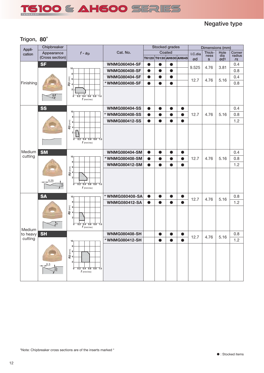![](_page_11_Picture_0.jpeg)

## **Negative type**

## **Trigon, 80**°

| Appli-    | Chipbreaker      |                                                                                                          |                      |           | <b>Stocked grades</b> |           |                                |         | Dimensions (mm)      |            |                       |
|-----------|------------------|----------------------------------------------------------------------------------------------------------|----------------------|-----------|-----------------------|-----------|--------------------------------|---------|----------------------|------------|-----------------------|
| cation    | Appearance       | $f - ap$                                                                                                 | Cat. No.             |           |                       | Coated    |                                | I.C.dia | Thick-               | Hole       | Corner                |
|           | (Cross section)  |                                                                                                          |                      |           |                       |           | <b>T6120 T6130 АН630 АН645</b> | ød      | ness<br>$\mathbf{s}$ | dia<br>ød1 | radius<br>$r\epsilon$ |
|           | <b>SF</b>        |                                                                                                          | <b>WNMG060404-SF</b> | $\bullet$ | $\bullet$             | $\bullet$ |                                |         |                      |            | 0.4                   |
|           |                  | 10 <sub>1</sub><br>8                                                                                     | <b>WNMG060408-SF</b> | $\bullet$ | $\bullet$             | $\bullet$ |                                | 9.525   | 4.76                 | 3.81       | 0.8                   |
|           |                  |                                                                                                          | <b>WNMG080404-SF</b> | $\bullet$ |                       | $\bullet$ |                                |         |                      |            | 0.4                   |
| Finishing |                  | $\begin{array}{c} \mathbf{a} \\ \mathbf{b} \\ \mathbf{c} \\ \mathbf{a} \end{array}$                      | * WNMG080408-SF      | $\bullet$ | $\bullet$             | $\bullet$ |                                | 12.7    | 4.76                 | 5.16       | 0.8                   |
|           | 8)               | $\overline{2}$<br>$0.2$ 0.4 0.6 0.8 1.0<br>$\overline{0}$<br>$f$ (mm/rev)                                |                      |           |                       |           |                                |         |                      |            |                       |
|           | <b>SS</b>        |                                                                                                          | <b>WNMG080404-SS</b> | 0         |                       | $\bullet$ | $\bullet$                      |         |                      |            | 0.4                   |
|           |                  | 10<br>8                                                                                                  | * WNMG080408-SS      | $\bullet$ |                       | $\bullet$ | $\bullet$                      | 12.7    | 4.76                 | 5.16       | 0.8                   |
|           |                  | 6                                                                                                        | <b>WNMG080412-SS</b> | $\bullet$ | $\bullet$             | $\bullet$ | $\bullet$                      |         |                      |            | 1.2                   |
|           |                  | ap <sub>(mm)</sub><br>$\overline{2}$<br>$0.2$ $0.4$ $0.6$ $0.8$ $1.0$<br>ō<br>$f$ (mm/rev)               |                      |           |                       |           |                                |         |                      |            |                       |
| Medium    | <b>SM</b>        |                                                                                                          | <b>WNMG080404-SM</b> | $\bullet$ | $\bullet$             | $\bullet$ | $\bullet$                      |         |                      |            | 0.4                   |
| cutting   |                  | 10 <sub>1</sub>                                                                                          | * WNMG080408-SM      | 0         |                       | $\bullet$ | $\bullet$                      | 12.7    | 4.76                 | 5.16       | 0.8                   |
|           |                  | 8                                                                                                        | <b>WNMG080412-SM</b> | $\bullet$ | $\bullet$             | $\bullet$ | $\bullet$                      |         |                      |            | 1.2                   |
|           | 0.25<br>$\delta$ | $\mathbf{a}$ $\mathbf{b}$ $\mathbf{c}$ $\mathbf{a}$<br>$0$ $0.2$ $0.4$ $0.6$ $0.8$ $1.0$<br>$f$ (mm/rev) |                      |           |                       |           |                                |         |                      |            |                       |
|           | <b>SA</b>        | 10 <sub>1</sub>                                                                                          | * WNMG080408-SA      | D         |                       | $\bullet$ | $\bullet$                      |         |                      |            | 0.8                   |
|           |                  | 8                                                                                                        | <b>WNMG080412-SA</b> | $\bullet$ | $\bullet$             | $\bullet$ | $\bullet$                      | 12.7    | 4.76                 | 5.16       | 1.2                   |
| Medium    | ∕ॄै              | ap (mm)<br>$0.2$ 0.4 0.6 0.8 1.0<br>൳<br>$f$ (mm/rev)                                                    |                      |           |                       |           |                                |         |                      |            |                       |
| to heavy  | <b>SH</b>        |                                                                                                          | <b>WNMG080408-SH</b> |           |                       |           | $\bullet$                      | 12.7    | 4.76                 | 5.16       | 0.8                   |
| cutting   |                  | 10 <sub>1</sub>                                                                                          | *WNMG080412-SH       |           |                       |           |                                |         |                      |            | 1.2                   |
|           |                  | 8<br>$\frac{20}{4}$ (mm)<br>$\overline{2}$<br>൳<br>$0.2$ $0.4$ $0.6$ $0.8$ $1.0$<br>$f$ (mm/rev)         |                      |           |                       |           |                                |         |                      |            |                       |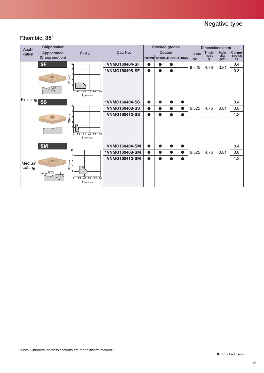## **Rhombic, 35**°

| Appli-    | Chipbreaker     |                                                         |                      |           |           | <b>Stocked grades</b> |                         |         | Dimensions (mm) |                 |                  |
|-----------|-----------------|---------------------------------------------------------|----------------------|-----------|-----------|-----------------------|-------------------------|---------|-----------------|-----------------|------------------|
| cation    | Appearance      | $f - ap$                                                | Cat. No.             |           |           | Coated                |                         | I.C.dia | Thick-<br>ness  | Hole<br>dia     | Corner<br>radius |
|           | (Cross section) |                                                         |                      |           |           |                       | T6120 T6130 AH630 AH645 | ød      | $\mathbf{s}$    | ød <sub>1</sub> | $r\epsilon$      |
|           | <b>SF</b>       | 10 <sub>0</sub>                                         | <b>VNMG160404-SF</b> | ●         | $\bullet$ | Q                     |                         | 9.525   | 4.76            | 3.81            | 0.4              |
|           |                 | 8                                                       | * VNMG160408-SF      | $\bullet$ | $\bullet$ | $\bullet$             |                         |         |                 |                 | 0.8              |
|           | $\mathbb{R}$    | 6<br>ap (mm)                                            |                      |           |           |                       |                         |         |                 |                 |                  |
|           |                 | $\mathfrak{p}$                                          |                      |           |           |                       |                         |         |                 |                 |                  |
|           | \$              | $0.2$ 0.4 0.6 0.8 1.0<br>$\overline{0}$                 |                      |           |           |                       |                         |         |                 |                 |                  |
|           |                 | $f$ (mm/rev)                                            |                      |           |           |                       |                         |         |                 |                 |                  |
| Finishing | <b>SS</b>       |                                                         | * VNMG160404-SS      | $\bullet$ | $\bullet$ | $\bullet$             | $\bullet$               |         |                 |                 | 0.4              |
|           |                 | 10 <sub>1</sub><br>8                                    | <b>VNMG160408-SS</b> | $\bullet$ | D         |                       | $\bullet$               | 9.525   | 4.76            | 3.81            | 0.8              |
|           |                 | 6                                                       | <b>VNMG160412-SS</b> | Ð         |           |                       | $\bullet$               |         |                 |                 | 1.2              |
|           |                 | ap (mm)                                                 |                      |           |           |                       |                         |         |                 |                 |                  |
|           |                 |                                                         |                      |           |           |                       |                         |         |                 |                 |                  |
|           |                 | $0.4$ 0.6 0.8 1.0<br>$\overline{0}$<br>$\overline{0.2}$ |                      |           |           |                       |                         |         |                 |                 |                  |
|           |                 | $f$ (mm/rev)                                            |                      |           |           |                       |                         |         |                 |                 |                  |
|           | <b>SM</b>       |                                                         | <b>VNMG160404-SM</b> | Ð         | $\bullet$ | $\bullet$             | $\bullet$               |         |                 |                 | 0.4              |
|           |                 | 10                                                      | *VNMG160408-SM       |           |           |                       | $\bullet$               | 9.525   | 4.76            | 3.81            | 0.8              |
|           |                 | R<br>6                                                  | <b>VNMG160412-SM</b> | $\bullet$ | $\bullet$ | $\bullet$             | $\bullet$               |         |                 |                 | 1.2              |
| Medium    |                 | ap (mm)                                                 |                      |           |           |                       |                         |         |                 |                 |                  |
| cutting   | 0.25            | 2                                                       |                      |           |           |                       |                         |         |                 |                 |                  |
|           | $\frac{1}{2}$   | $\overline{0}$<br>0.2<br>$0.4$ 0.6 0.8 1.0              |                      |           |           |                       |                         |         |                 |                 |                  |
|           |                 | $f$ (mm/rev)                                            |                      |           |           |                       |                         |         |                 |                 |                  |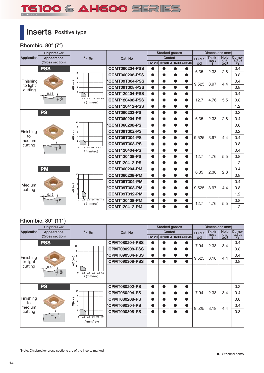# TS100 & AH600 SERIES

# **Inserts Positive type**

**Rhombic, 80° (7°)**

|                     | Chipbreaker             |                                                      |                       |           |           | <b>Stocked grades</b> |                         |         | Dimensions (mm) |             |                  |
|---------------------|-------------------------|------------------------------------------------------|-----------------------|-----------|-----------|-----------------------|-------------------------|---------|-----------------|-------------|------------------|
| Application         | Appearance              | $f - ap$                                             | Cat. No               |           |           | Coated                |                         | I.C.dia | Thick-<br>ness  | Hole<br>dia | Corner<br>radius |
|                     | (Cross section)         |                                                      |                       |           |           |                       | T6120 T6130 AH630 AH645 | ød      | s               | $\omega$ d1 | $r\epsilon$      |
|                     | <b>PSS</b>              |                                                      | <b>CCMT060204-PSS</b> | $\bullet$ | $\bullet$ | $\bullet$             | ●                       | 6.35    | 2.38            | 2.8         | 0.4              |
|                     |                         | 10<br>8                                              | <b>CCMT060208-PSS</b> | $\bullet$ | $\bullet$ | $\bullet$             |                         |         |                 |             | 0.8              |
| Finishing           |                         |                                                      | *CCMT09T304-PSS       | $\bullet$ | $\bullet$ | $\bullet$             | $\bullet$               | 9.525   | 3.97            | 4.4         | 0.4              |
| to light<br>cutting |                         | ap <sub>(mm)</sub>                                   | CCMT09T308-PSS        | $\bullet$ | $\bullet$ | $\bullet$             |                         |         |                 |             | 0.8              |
|                     | 0.15                    | $\overline{2}$                                       | <b>CCMT120404-PSS</b> | $\bullet$ | ●         | D                     | $\bullet$               |         |                 |             | 0.4              |
|                     | å                       | $0.4$ 0.6 0.8 1.0<br>0.2<br>$\bf{0}$<br>$f$ (mm/rev) | <b>CCMT120408-PSS</b> | $\bullet$ | $\bullet$ | $\bullet$             | $\bullet$               | 12.7    | 4.76            | 5.5         | 0.8              |
|                     |                         |                                                      | <b>CCMT120412-PSS</b> | $\bullet$ | $\bullet$ | ●                     | $\bullet$               |         |                 |             | 1.2              |
|                     | <b>PS</b>               |                                                      | <b>CCMT060202-PS</b>  | $\bullet$ | ●         | ●                     | $\bullet$               |         |                 |             | 0.2              |
|                     |                         |                                                      | <b>CCMT060204-PS</b>  | $\bullet$ |           |                       |                         | 6.35    | 2.38            | 2.8         | 0.4              |
|                     |                         | 10 <sub>1</sub><br>8                                 | *CCMT060208-PS        | $\bullet$ | D         | D                     |                         |         |                 |             | 0.8              |
| Finishing           |                         | ap (mm)                                              | CCMT09T302-PS         | $\bullet$ |           |                       |                         |         |                 |             | 0.2              |
| to<br>medium        |                         |                                                      | CCMT09T304-PS         | $\bullet$ | ●         | D                     |                         | 9.525   | 3.97            | 4.4         | 0.4              |
| cutting             | $\overline{10^{\circ}}$ | $0.2$ 0.4 0.6 0.8 1.0<br>$\mathbf{0}$                | CCMT09T308-PS         | $\bullet$ | ●         | $\bullet$             | $\bullet$               |         |                 |             | 0.8              |
|                     |                         | $f$ (mm/rev)                                         | <b>CCMT120404-PS</b>  | $\bullet$ | $\bullet$ | $\bullet$             | $\bullet$               |         |                 |             | 0.4              |
|                     |                         |                                                      | <b>CCMT120408-PS</b>  | $\bullet$ | $\bullet$ | $\bullet$             | $\bullet$               | 12.7    | 4.76            | 5.5         | 0.8              |
|                     |                         |                                                      | <b>CCMT120412-PS</b>  | $\bullet$ | $\bullet$ | $\bullet$             | $\bullet$               |         |                 |             | 1.2              |
|                     | <b>PM</b>               |                                                      | <b>CCMT060204-PM</b>  | $\bullet$ | $\bullet$ | $\bullet$             | $\bullet$               | 6.35    | 2.38            | 2.8         | 0.4              |
|                     |                         | 10 <sub>1</sub>                                      | <b>CCMT060208-PM</b>  | $\bullet$ | $\bullet$ | $\bullet$             |                         |         |                 |             | 0.8              |
| Medium              |                         |                                                      | CCMT09T304-PM         | $\bullet$ | $\bullet$ | $\bullet$             | $\bullet$               |         |                 |             | 0.4              |
| cutting             |                         | ap <sub>(mm)</sub>                                   | *CCMT09T308-PM        | $\bullet$ | $\bullet$ | D                     |                         | 9.525   | 3.97            | 4.4         | 0.8              |
|                     | 0.15                    |                                                      | CCMT09T312-PM         | $\bullet$ | $\bullet$ | D                     |                         |         |                 |             | 1.2              |
|                     | စိ                      | $0.2$ 0.4 0.6 0.8 1.0<br>ō<br>$f$ (mm/rev)           | <b>CCMT120408-PM</b>  | $\bullet$ | $\bullet$ | D                     |                         | 12.7    | 4.76            | 5.5         | 0.8              |
|                     |                         |                                                      | <b>CCMT120412-PM</b>  | $\bullet$ |           |                       |                         |         |                 |             | 1.2              |

## **Rhombic, 80° (11°)**

| Medium<br>cuttina  |                                    | ap <sub>(mm</sub>                          | *CCMT09T308-PM        | $\bullet$ | D         |                   |           | 9.525   | 3.97            | 4.4                   | 0.8              |
|--------------------|------------------------------------|--------------------------------------------|-----------------------|-----------|-----------|-------------------|-----------|---------|-----------------|-----------------------|------------------|
|                    | 0.15                               | $\overline{2}$                             | CCMT09T312-PM         | $\bullet$ | ●         |                   | ●         |         |                 |                       | 1.2              |
|                    | စိ                                 | $0.4$ 0.6 0.8 1.0<br>0.2<br>ō              | <b>CCMT120408-PM</b>  | $\bullet$ | ●         |                   | $\bullet$ |         |                 |                       | 0.8              |
|                    |                                    | $f$ (mm/rev)                               | <b>CCMT120412-PM</b>  | $\bullet$ | ●         |                   |           | 12.7    | 4.76            | 5.5                   | 1.2              |
|                    |                                    |                                            |                       |           |           |                   |           |         |                 |                       |                  |
|                    | Rhombic, $80^\circ$ (11 $^\circ$ ) |                                            |                       |           |           |                   |           |         |                 |                       |                  |
|                    | Chipbreaker                        |                                            |                       |           |           | Stocked grades    |           |         | Dimensions (mm) |                       |                  |
| <b>Application</b> | Appearance                         | $f - ap$                                   | Cat. No               |           |           | Coated            |           | I.C.dia | Thick-<br>ness  | Hole                  | Corner<br>radius |
|                    | (Cross section)                    |                                            |                       | T6120     |           | T6130 AH630 AH645 |           | ød      | s               | $\frac{d^{2}}{d^{2}}$ | $r\epsilon$      |
|                    | <b>PSS</b>                         | 10                                         | <b>CPMT080204-PSS</b> | $\bullet$ | $\bullet$ |                   | O         | 7.94    | 2.38            | 3.4                   | 0.4              |
|                    |                                    | 8                                          | <b>CPMT080208-PSS</b> | $\bullet$ | ●         |                   | $\bullet$ |         |                 |                       | 0.8              |
| Finishing          |                                    | 6                                          | *CPMT090304-PSS       | $\bullet$ | $\bullet$ | ●                 | $\bullet$ | 9.525   | 3.18            | 4.4                   | 0.4              |
| to light           |                                    | ap (mm)<br>$\overline{A}$                  | <b>CPMT090308-PSS</b> | $\bullet$ | ●         | $\bullet$         |           |         |                 |                       | 0.8              |
| cutting            | 0.15                               | $\overline{2}$                             |                       |           |           |                   |           |         |                 |                       |                  |
|                    | $\overline{p}$                     | $0.2$ 0.4 0.6 0.8 1.0<br>0<br>$f$ (mm/rev) |                       |           |           |                   |           |         |                 |                       |                  |
|                    |                                    |                                            |                       |           |           |                   |           |         |                 |                       |                  |
|                    | <b>PS</b>                          |                                            | <b>CPMT080202-PS</b>  | $\bullet$ | ●         |                   | $\bullet$ |         |                 |                       | 0.2              |
|                    |                                    | 10<br>Я                                    | <b>CPMT080204-PS</b>  | $\bullet$ | ●         |                   | $\bullet$ | 7.94    | 2.38            | 3.4                   | 0.4              |
| Finishing          |                                    | ap (mm)<br>$\mathbf{6}$                    | <b>CPMT080208-PS</b>  | $\bullet$ | $\bullet$ | $\bullet$         | $\bullet$ |         |                 |                       | 0.8              |
| to<br>medium       |                                    |                                            | *CPMT090304-PS        | $\bullet$ | $\bullet$ | $\bullet$         | $\bullet$ | 9.525   | 3.18            | 4.4                   | 0.4              |
| cutting            |                                    | 2                                          | <b>CPMT090308-PS</b>  | $\bullet$ | $\bullet$ | $\bullet$         |           |         |                 |                       | 0.8              |
|                    | $10^{\circ}$                       | $0.2$ 0.4 0.6 0.8 1.0<br>$\mathbf{0}$      |                       |           |           |                   |           |         |                 |                       |                  |
|                    |                                    | $f$ (mm/rev)                               |                       |           |           |                   |           |         |                 |                       |                  |
|                    |                                    |                                            |                       |           |           |                   |           |         |                 |                       |                  |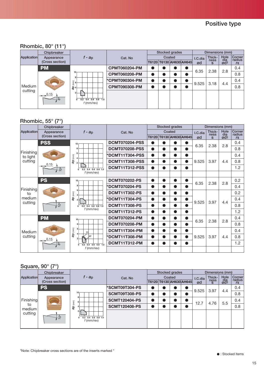## **Rhombic, 80° (11°)**

|             | Chipbreaker      |                                       |                       |           |        | Stocked grades          |         | Dimensions (mm) |            |                           |
|-------------|------------------|---------------------------------------|-----------------------|-----------|--------|-------------------------|---------|-----------------|------------|---------------------------|
| Application | Appearance       | $f - a_p$                             | Cat. No               |           | Coated |                         | I.C.dia | Thick-          | Hole       | <b>Corner</b><br>  radius |
|             | (Cross section)  |                                       |                       |           |        | T6120 T6130 AH630 AH645 | ød      | ness<br>s       | dia<br>gd1 | $r\epsilon$               |
|             | <b>PM</b>        |                                       | <b>CPMT060204-PM</b>  |           |        |                         | 6.35    | 2.38            | 2.8        | 0.4                       |
|             |                  | 10 <sub>1</sub><br>8                  | <b>CPMT060208-PM</b>  | O         |        |                         |         |                 |            | 0.8                       |
|             |                  | $\widehat{\mathbf{E}}$ 6              | <b>*CPMT090304-PM</b> | $\bullet$ |        |                         | 9.525   | 3.18            | 4.4        | 0.4                       |
| Medium      |                  | $\frac{a}{a}$                         | <b>CPMT090308-PM</b>  | 0         |        |                         |         |                 |            | 0.8                       |
| cutting     | $-1$ 0.15<br>ကြိ | $0.2$ 0.4 0.6 0.8 1.0<br>$f$ (mm/rev) |                       |           |        |                         |         |                 |            |                           |

## **Rhombic, 55° (7°)**

|                     |                               | $\left(\begin{matrix} 2 \\ 1 \\ 2 \end{matrix}\right)$           | UF IVI I UJUJU <del>T</del> "F IVI |           |                       |           |                         | 9.525         | 3.18                            | 4.4                    | ∪.4                             |
|---------------------|-------------------------------|------------------------------------------------------------------|------------------------------------|-----------|-----------------------|-----------|-------------------------|---------------|---------------------------------|------------------------|---------------------------------|
| Medium              |                               | $\frac{8}{3}$                                                    | <b>CPMT090308-PM</b>               | ●         |                       |           |                         |               |                                 |                        | 0.8                             |
| cutting             | 0.15                          | $\overline{2}$                                                   |                                    |           |                       |           |                         |               |                                 |                        |                                 |
|                     | စိ                            | $0.4$ 0.6 0.8 1.0<br>0.2                                         |                                    |           |                       |           |                         |               |                                 |                        |                                 |
|                     |                               | $f$ (mm/rev)                                                     |                                    |           |                       |           |                         |               |                                 |                        |                                 |
|                     |                               |                                                                  |                                    |           |                       |           |                         |               |                                 |                        |                                 |
|                     |                               |                                                                  |                                    |           |                       |           |                         |               |                                 |                        |                                 |
|                     | Rhombic, 55° (7°)             |                                                                  |                                    |           |                       |           |                         |               |                                 |                        |                                 |
| Application         | Chipbreaker                   |                                                                  |                                    |           | <b>Stocked grades</b> | Coated    |                         |               | Dimensions (mm)<br>Thick-       | Hole                   |                                 |
|                     | Appearance<br>(Cross section) | $f - ap$                                                         | Cat. No                            |           |                       |           | T6120 T6130 AH630 AH645 | I.C.dia<br>ød | ness<br>$\mathbf{s}$            | dia<br>ød <sub>1</sub> | Corner<br>radius<br>$r\epsilon$ |
|                     | <b>PSS</b>                    | 10                                                               | <b>DCMT070204-PSS</b>              |           |                       |           |                         |               |                                 |                        | 0.4                             |
|                     |                               | 8                                                                | <b>DCMT070208-PSS</b>              | $\bullet$ |                       |           |                         | 6.35          | 2.38                            | 2.8                    | 0.8                             |
| Finishing           |                               | 6                                                                | DCMT11T304-PSS                     | $\bullet$ |                       |           |                         |               |                                 |                        | 0.4                             |
| to light<br>cutting |                               | ap <sub>(mm)</sub><br>$\overline{4}$<br>$\overline{2}$           | DCMT11T308-PSS                     | $\bullet$ | $\bullet$             | $\bullet$ |                         | 9.525         | 3.97                            | 4.4                    | 0.8                             |
|                     | D. 15                         |                                                                  | DCMT11T312-PSS                     | $\bullet$ | ●                     |           | $\bullet$               |               |                                 |                        | 1.2                             |
|                     |                               | $0.2$ 0.4 0.6 0.8 1.0<br>$\overline{\mathbf{0}}$<br>$f$ (mm/rev) |                                    |           |                       |           |                         |               |                                 |                        |                                 |
|                     | <b>PS</b>                     | $10\,$                                                           | <b>DCMT070202-PS</b>               | $\bullet$ | $\bullet$             | $\bullet$ | $\bullet$               |               |                                 |                        | 0.2                             |
|                     |                               | 8                                                                | <b>DCMT070204-PS</b>               | $\bullet$ | $\bullet$             | $\bullet$ | $\bullet$               | 6.35          | 2.38                            | 2.8                    | 0.4                             |
| Finishing<br>to     |                               | 6                                                                | <b>DCMT11T302-PS</b>               | $\bullet$ | $\bullet$             | $\bullet$ | $\bullet$               |               |                                 |                        | 0.2                             |
| medium              |                               | ap (mm)<br>$\overline{a}$<br>$\overline{2}$                      | <b>DCMT11T304-PS</b>               | $\bullet$ | $\bullet$             |           | $\bullet$               |               |                                 |                        | 0.4                             |
| cutting             | $\delta$                      | $0.2$ 0.4 0.6 0.8 1.0<br>$\overline{0}$                          | <b>DCMT11T308-PS</b>               | $\bullet$ | $\bullet$             | $\bullet$ |                         | 9.525         | 3.97                            | 4.4                    | 0.8                             |
|                     |                               | $f$ (mm/rev)                                                     | <b>DCMT11T312-PS</b>               | $\bullet$ | $\bullet$             | $\bullet$ | $\bullet$               |               |                                 |                        | 1.2                             |
|                     | <b>PM</b>                     | 10                                                               | <b>DCMT070204-PM</b>               | $\bullet$ | $\bullet$             | $\bullet$ | $\bullet$               |               |                                 |                        | 0.4                             |
|                     |                               |                                                                  | <b>DCMT070208-PM</b>               | $\bullet$ | $\bullet$             | ●         | ●                       | 6.35          | 2.38                            | 2.8                    | 0.8                             |
| Medium              |                               |                                                                  | DCMT11T304-PM                      | $\bullet$ | $\bullet$             | $\bullet$ | $\bullet$               |               |                                 |                        | 0.4                             |
| cutting             |                               | ap (mm)<br>07                                                    | <b>DCMT11T308-PM</b>               | $\bullet$ | $\bullet$             |           | $\bullet$               | 9.525         | 3.97                            | 4.4                    | 0.8                             |
|                     | <u>0.15</u><br>.ထိ            | $0.2$ $0.4$ $0.6$ $0.8$ $1.0$<br>ō                               | DCMT11T312-PM                      | $\bullet$ | $\bullet$             |           | ●                       |               |                                 |                        | 1.2                             |
|                     |                               | $f$ (mm/rev)                                                     |                                    |           |                       |           |                         |               |                                 |                        |                                 |
|                     |                               |                                                                  |                                    |           |                       |           |                         |               |                                 |                        |                                 |
|                     |                               |                                                                  |                                    |           |                       |           |                         |               |                                 |                        |                                 |
|                     | Square, 90° (7°)              |                                                                  |                                    |           |                       |           |                         |               |                                 |                        |                                 |
|                     | Chipbreaker                   |                                                                  |                                    |           | Stocked grades        |           |                         |               | Dimensions (mm)                 |                        |                                 |
| Application         | Appearance<br>(Cross section) | $f - ap$                                                         | Cat. No                            | T6120     |                       | Coated    | T6130 AH630 AH645       | I.C.dia<br>ød | Thick-<br>$n_{\rm g}^{\rm max}$ | Hole<br>$\frac{d}{d}$  | Corner<br>radius                |
|                     | <b>PS</b>                     |                                                                  | 'SCMT09T304-PS                     | $\bullet$ | ●                     |           | O                       |               |                                 |                        | rε<br>0.4                       |
|                     |                               | 10 <sub>1</sub>                                                  | SCMT09T308-PS                      | $\bullet$ | $\bullet$             | $\bullet$ | $\bullet$               | 9.525         | 3.97                            | 4.4                    | 0.8                             |
| Finishing           |                               | R                                                                | <b>SCMT120404-PS</b>               | $\bullet$ | $\bullet$             | ●         |                         |               |                                 |                        | 0.4                             |
| to                  |                               | ap (mm)<br>6                                                     | <b>SCMT120408-PS</b>               | $\bullet$ | $\bullet$             | $\bullet$ |                         | 12.7          | 4.76                            | 5.5                    | 0.8                             |
| madium              |                               |                                                                  |                                    |           |                       |           |                         |               |                                 |                        |                                 |

## **Square, 90° (7°)**

| Application                          | Chipbreaker     |                                                            | Cat. No               |        | Stocked grades |                         |  |         | Dimensions (mm) |                    |                  |  |
|--------------------------------------|-----------------|------------------------------------------------------------|-----------------------|--------|----------------|-------------------------|--|---------|-----------------|--------------------|------------------|--|
|                                      | Appearance      | f - ap                                                     |                       | Coated |                |                         |  | I.C.dia | Thick-          | Hole<br>dia<br>ød1 | Corner<br>radius |  |
|                                      | (Cross section) |                                                            |                       |        |                | T6120 T6130 AH630 AH645 |  | ød      | ness<br>s       |                    | $r\epsilon$      |  |
|                                      | <b>PS</b>       |                                                            | <b>*SCMT09T304-PS</b> |        |                |                         |  | 9.525   | 3.97            |                    | 0.4              |  |
| Finishing<br>to<br>medium<br>cutting |                 | 10 <sub>1</sub>                                            | SCMT09T308-PS         |        |                |                         |  |         |                 | 4.4                | 0.8              |  |
|                                      |                 | 8<br>(mm)                                                  | <b>SCMT120404-PS</b>  |        |                |                         |  | 12.7    | 4.76            | 5.5                | 0.4              |  |
|                                      |                 | ąр                                                         | <b>SCMT120408-PS</b>  |        |                |                         |  |         |                 |                    | 0.8              |  |
|                                      | 10 <sub>o</sub> | 21<br>$0.4$ 0.6 0.8 1.0<br>0.2<br>$\Omega$<br>$f$ (mm/rev) |                       |        |                |                         |  |         |                 |                    |                  |  |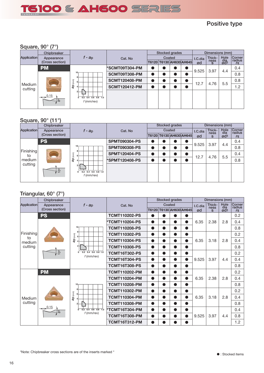![](_page_15_Picture_0.jpeg)

## **Positive type**

## **Square, 90° (7°)**

| <b>Application</b> | Chipbreaker     |                                                    |                       |        | Stocked grades          |  |  |         | Dimensions (mm) |                    |                         |
|--------------------|-----------------|----------------------------------------------------|-----------------------|--------|-------------------------|--|--|---------|-----------------|--------------------|-------------------------|
|                    | Appearance      | $\ell$ - ap                                        | Cat. No               | Coated |                         |  |  | I.C.dia | Thick-          | Hole<br>dia<br>Ød1 | <b>Corner</b><br>radius |
|                    | (Cross section) |                                                    |                       |        | T6120 T6130 AH630 AH645 |  |  | ød      | ness<br>s       |                    | $r\epsilon$             |
|                    | <b>PM</b>       |                                                    | <b>*SCMT09T304-PM</b> |        |                         |  |  |         | 3.97            |                    | 0.4                     |
|                    |                 |                                                    | SCMT09T308-PM         |        |                         |  |  | 9.525   |                 | 4.4                | 0.8                     |
|                    |                 | $\widehat{\mathsf{E}}$                             | <b>SCMT120408-PM</b>  |        |                         |  |  | 12.7    | 4.76            | 5.5                | 0.8                     |
| Medium<br>cutting  |                 | ap                                                 | <b>SCMT120412-PM</b>  |        |                         |  |  |         |                 |                    | 1.2                     |
|                    | $-16$<br>/ စိုက | $0.2$ $0.4$ $0.6$ $0.8$ $1.0$<br>0<br>$f$ (mm/rev) |                       |        |                         |  |  |         |                 |                    |                         |

## **Square, 90° (11°)**

| . <del>.</del>  | Chipbreaker                   |                                                   |                       |        | Stocked grades |                         |         | Dimensions (mm) |                                           |               |
|-----------------|-------------------------------|---------------------------------------------------|-----------------------|--------|----------------|-------------------------|---------|-----------------|-------------------------------------------|---------------|
| Application     | Appearance<br>(Cross section) | $f - ap$                                          | Cat. No               | Coated |                |                         | I.C.dia | Thick-<br>ness  | Hole                                      | <b>Corner</b> |
|                 |                               |                                                   |                       |        |                | T6120 T6130 AH630 AH645 | ød      | s               | ød <sub>1</sub>                           | $r\epsilon$   |
| Finishing<br>to | <b>PS</b>                     |                                                   | <b>SPMT090304-PS</b>  |        |                |                         | 9.525   | 3.97            |                                           | 0.4           |
|                 |                               | 10 <sub>1</sub><br>я                              | <b>SPMT090308-PS</b>  |        |                |                         |         |                 |                                           | 0.8           |
|                 |                               | (mm)                                              | <b>SPMT120404-PS</b>  |        |                |                         | 12.7    | 4.76            | dia<br>radius<br>4.4<br>0.4<br>5.5<br>0.8 |               |
| medium          |                               | æ                                                 | <b>*SPMT120408-PS</b> |        |                |                         |         |                 |                                           |               |
| cutting         | å                             | $0.4$ $0.6$ $0.8$ 1.0<br>0.2<br>0<br>$f$ (mm/rev) |                       |        |                |                         |         |                 |                                           |               |
|                 |                               |                                                   |                       |        |                |                         |         |                 |                                           |               |

## **Triangular, 60° (7°)**

| Medium             |                               | ap <sub>(mm)</sub>                                      | <b>SCMT120408-PM</b> |           |           |                         |                                   | 12.7            | 4.76            | 5.5                   | 0.8              |  |
|--------------------|-------------------------------|---------------------------------------------------------|----------------------|-----------|-----------|-------------------------|-----------------------------------|-----------------|-----------------|-----------------------|------------------|--|
| cutting            |                               |                                                         | <b>SCMT120412-PM</b> | $\bullet$ | $\bullet$ | ●                       | $\bullet$                         |                 |                 |                       | 1.2              |  |
|                    | <u>0.15</u>                   |                                                         |                      |           |           |                         |                                   |                 |                 |                       |                  |  |
|                    |                               | $0.6$ $0.8$ 1.0<br>ō<br>0.2<br>0.4<br>$f$ (mm/rev)      |                      |           |           |                         |                                   |                 |                 |                       |                  |  |
|                    |                               |                                                         |                      |           |           |                         |                                   |                 |                 |                       |                  |  |
|                    |                               |                                                         |                      |           |           |                         |                                   |                 |                 |                       |                  |  |
|                    | Square, 90° (11°)             |                                                         |                      |           |           |                         |                                   |                 |                 |                       |                  |  |
|                    | Chipbreaker                   |                                                         |                      |           |           | <b>Stocked grades</b>   |                                   |                 | Dimensions (mm) |                       |                  |  |
| <b>Application</b> | Appearance                    | $f - ap$                                                | Cat. No              |           |           | Coated                  |                                   | I.C.dia         | Thick-<br>ness  | Hole<br>dia           | Corner<br>radius |  |
|                    | (Cross section)               |                                                         |                      |           |           | T6120 T6130 AH630 AH645 |                                   | ød              | s               | ød1                   | $r\epsilon$      |  |
|                    | <b>PS</b>                     | 10                                                      | <b>SPMT090304-PS</b> | O         |           |                         |                                   | 9.525           | 3.97            | 4.4                   | 0.4              |  |
| Finishing          |                               |                                                         | <b>SPMT090308-PS</b> | $\bullet$ | $\bullet$ | $\bullet$               | $\bullet$                         |                 |                 |                       | 0.8              |  |
| to                 |                               | ap (mm)                                                 | <b>SPMT120404-PS</b> | $\bullet$ | ●         |                         | $\bullet$                         | 12.7            | 4.76            | 5.5                   | 0.4              |  |
| medium<br>cutting  |                               |                                                         | *SPMT120408-PS       | $\bullet$ | O         |                         |                                   |                 |                 |                       | 0.8              |  |
|                    | å                             |                                                         |                      |           |           |                         |                                   |                 |                 |                       |                  |  |
|                    |                               | $0.2$ 0.4 0.6 0.8 1.0<br>0<br>$f$ (mm/rev)              |                      |           |           |                         |                                   |                 |                 |                       |                  |  |
|                    |                               |                                                         |                      |           |           |                         |                                   |                 |                 |                       |                  |  |
|                    |                               |                                                         |                      |           |           |                         |                                   |                 |                 |                       |                  |  |
|                    | Triangular, $60^{\circ}$ (7°) |                                                         |                      |           |           |                         |                                   |                 |                 |                       |                  |  |
|                    | Chipbreaker                   |                                                         |                      |           |           | Stocked grades          |                                   | Dimensions (mm) |                 |                       |                  |  |
| Application        | Appearance                    | $f - ap$                                                | Cat. No              | Coated    |           |                         | Hole<br>Thick-<br>I.C.dia<br>ness |                 |                 | Corner<br>radius      |                  |  |
|                    | (Cross section)               |                                                         |                      |           |           | T6120 T6130 AH630 AH645 |                                   | ød              | s               | $\frac{d^{2}}{d^{2}}$ | $r\epsilon$      |  |
|                    | <b>PS</b>                     |                                                         | <b>TCMT110202-PS</b> |           |           |                         |                                   |                 |                 |                       | 0.2              |  |
|                    |                               |                                                         | <b>TCMT110204-PS</b> | $\bullet$ | $\bullet$ | $\bullet$               | $\bullet$                         | 6.35            | 2.38            | 2.8                   | 0.4              |  |
|                    |                               | 10                                                      | <b>TCMT110208-PS</b> | $\bullet$ | $\bullet$ | $\bullet$               | $\bullet$                         |                 |                 |                       | 0.8              |  |
| Finishing<br>to    |                               | ap <sub>(mm)</sub><br>6                                 | <b>TCMT110302-PS</b> | $\bullet$ |           |                         | $\bullet$                         |                 |                 |                       | 0.2              |  |
| medium             |                               | $\overline{4}$                                          | <b>TCMT110304-PS</b> | $\bullet$ | $\bullet$ | $\bullet$               | $\bullet$                         | 6.35            | 3.18            | 2.8                   | 0.4              |  |
| cutting            |                               | $\mathbf{2}$                                            | <b>TCMT110308-PS</b> | $\bullet$ |           |                         |                                   |                 |                 |                       | 0.8              |  |
|                    | $10^{\circ}$                  | $0.2$ 0.4 0.6 0.8 1.0<br>$\overline{0}$<br>$f$ (mm/rev) | <b>TCMT16T302-PS</b> | $\bullet$ | D         |                         |                                   |                 |                 |                       | 0.2              |  |
|                    |                               |                                                         | <b>TCMT16T304-PS</b> | $\bullet$ | $\bullet$ | ●                       | $\bullet$                         | 9.525           | 3.97            | 4.4                   | 0.4              |  |
|                    |                               |                                                         | <b>TCMT16T308-PS</b> | $\bullet$ |           |                         | $\bullet$                         |                 |                 |                       | 0.8              |  |
|                    | <b>PM</b>                     |                                                         | <b>TCMT110202-PM</b> | $\bullet$ |           |                         |                                   |                 |                 |                       | 0.2              |  |
|                    |                               |                                                         | <b>TCMT110204-PM</b> |           |           |                         |                                   | 6.35            | 2.38            | 2.8                   | 0.4              |  |
|                    |                               | 10 <sub>1</sub>                                         | <b>TCMT110208-PM</b> | $\bullet$ | $\bullet$ | $\bullet$               | $\bullet$                         |                 |                 |                       | 0.8              |  |
|                    |                               |                                                         | <b>TCMT110302-PM</b> | $\bullet$ | $\bullet$ | $\bullet$               | $\bullet$                         |                 |                 |                       | 0.2              |  |
| Medium             |                               | ap <sub>(mm)</sub>                                      | <b>TCMT110304-PM</b> | $\bullet$ | $\bullet$ | $\bullet$               | $\bullet$                         | 6.35            | 3.18            | 2.8                   | 0.4              |  |
| cutting            |                               | $\overline{2}$                                          | <b>TCMT110308-PM</b> | $\bullet$ | 0         | 0                       | $\bullet$                         |                 |                 |                       | 0.8              |  |
|                    | 0.15<br>ု့ စ                  | $0$ 0.2 0.4 0.6 0.8 1.0                                 | *TCMT16T304-PM       | $\bullet$ | $\bullet$ | $\bullet$               | $\bullet$                         |                 |                 |                       | 0.4              |  |
|                    |                               | $f$ (mm/rev)                                            | <b>TCMT16T308-PM</b> | $\bullet$ | $\bullet$ | $\bullet$               | $\bullet$                         | 9.525           | 3.97            | 4.4                   | 0.8              |  |
|                    |                               |                                                         | <b>TCMT16T312-PM</b> |           |           |                         |                                   |                 |                 |                       | 1.2              |  |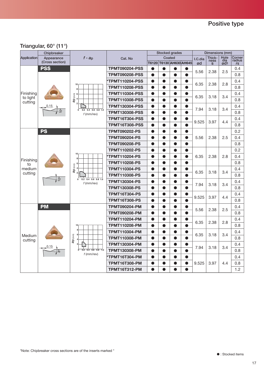## **Triangular, 60° (11°)**

|                     | Chipbreaker     |                                                         | <b>Stocked grades</b> |           |           | Dimensions (mm)         |           |         |                |                   |                  |
|---------------------|-----------------|---------------------------------------------------------|-----------------------|-----------|-----------|-------------------------|-----------|---------|----------------|-------------------|------------------|
| <b>Application</b>  | Appearance      | $f$ - $a_p$                                             | Cat. No               |           |           | Coated                  |           | I.C.dia | Thick-<br>ness | Hole              | Corner<br>radius |
|                     | (Cross section) |                                                         |                       |           |           | T6120 T6130 AH630 AH645 |           | ød      | $\mathbf{s}$   | $\frac{d^{2}}{8}$ | $r\epsilon$      |
|                     | <b>PSS</b>      |                                                         | <b>TPMT090204-PSS</b> | 0         | O         | O                       | $\bullet$ | 5.56    | 2.38           | 2.5               | 0.4              |
|                     |                 |                                                         | <b>TPMT090208-PSS</b> | $\bullet$ | $\bullet$ | ●                       | $\bullet$ |         |                |                   | 0.8              |
|                     |                 | 10                                                      | *TPMT110204-PSS       | $\bullet$ | $\bullet$ | $\bullet$               | $\bullet$ | 6.35    | 2.38           | 2.8               | 0.4              |
|                     |                 | 8                                                       | <b>TPMT110208-PSS</b> | $\bullet$ | $\bullet$ | $\bullet$               | $\bullet$ |         |                |                   | 0.8              |
| Finishing           |                 | 6                                                       | <b>TPMT110304-PSS</b> | $\bullet$ | $\bullet$ | $\bullet$               | $\bullet$ | 6.35    | 3.18           | 3.4               | 0.4              |
| to light<br>cutting |                 | ap (mm)                                                 | <b>TPMT110308-PSS</b> | $\bullet$ | $\bullet$ | $\bullet$               | $\bullet$ |         |                |                   | 0.8              |
|                     | 0.15            | $\mathbf{0}$                                            | <b>TPMT130304-PSS</b> | $\bullet$ | $\bullet$ | ●                       | $\bullet$ | 7.94    | 3.18           | 3.4               | 0.4              |
|                     |                 | 0.2<br>$0.4$ 0.6 0.8 1.0<br>$f$ (mm/rev)                | <b>TPMT130308-PSS</b> | $\bullet$ | $\bullet$ | ●                       |           |         |                |                   | 0.8              |
|                     |                 |                                                         | <b>TPMT16T304-PSS</b> | $\bullet$ | ●         | O                       | $\bullet$ | 9.525   | 3.97           | 4.4               | 0.4              |
|                     |                 |                                                         | <b>TPMT16T308-PSS</b> | $\bullet$ | $\bullet$ |                         |           |         |                |                   | 0.8              |
|                     | <b>PS</b>       |                                                         | <b>TPMT090202-PS</b>  | $\bullet$ | $\bullet$ | $\bullet$               | $\bullet$ |         |                |                   | 0.2              |
|                     |                 |                                                         | <b>TPMT090204-PS</b>  | $\bullet$ | $\bullet$ | $\bullet$               | $\bullet$ | 5.56    | 2.38           | 2.5               | 0.4              |
|                     |                 |                                                         | <b>TPMT090208-PS</b>  | $\bullet$ | $\bullet$ | $\bullet$               | $\bullet$ |         |                |                   | 0.8              |
|                     |                 |                                                         | <b>TPMT110202-PS</b>  | $\bullet$ | $\bullet$ | $\bullet$               | $\bullet$ |         |                |                   | 0.2              |
|                     |                 | 10 <sub>1</sub><br>8                                    | *TPMT110204-PS        | $\bullet$ | $\bullet$ | $\bullet$               | $\bullet$ | 6.35    | 2.38           | 2.8               | 0.4              |
| Finishing<br>to     |                 | 6<br>$\widehat{\rm (mm)}$                               | <b>TPMT110208-PS</b>  | $\bullet$ | ●         | ●                       | $\bullet$ |         |                |                   | 0.8              |
| medium              | $\frac{1}{2}$   | $\overline{a}$                                          | <b>TPMT110304-PS</b>  | $\bullet$ | $\bullet$ | ●                       | ●         | 6.35    | 3.18           | 3.4               | 0.4              |
| cutting             |                 |                                                         | <b>TPMT110308-PS</b>  | $\bullet$ | ð         |                         |           |         |                |                   | 0.8              |
|                     |                 | $0.2$ 0.4 0.6 0.8 1.0<br>$\overline{0}$<br>$f$ (mm/rev) | <b>TPMT130304-PS</b>  | $\bullet$ | $\bullet$ | ●                       | $\bullet$ | 7.94    | 3.18           | 3.4               | 0.4              |
|                     |                 |                                                         | <b>TPMT130308-PS</b>  | $\bullet$ | $\bullet$ | $\bullet$               | $\bullet$ |         |                |                   | 0.8              |
|                     |                 |                                                         | <b>TPMT16T304-PS</b>  | $\bullet$ | $\bullet$ | $\bullet$               | $\bullet$ |         |                |                   | 0.4              |
|                     |                 |                                                         | <b>TPMT16T308-PS</b>  | $\bullet$ | $\bullet$ | $\bullet$               | $\bullet$ | 9.525   | 3.97           | 4.4               | 0.8              |
|                     | <b>PM</b>       |                                                         | <b>TPMT090204-PM</b>  | $\bullet$ | $\bullet$ | $\bullet$               | $\bullet$ |         |                |                   | 0.4              |
|                     |                 |                                                         | <b>TPMT090208-PM</b>  | $\bullet$ | $\bullet$ | $\bullet$               | ●         | 5.56    | 2.38           | 2.5               | 0.8              |
|                     |                 |                                                         | <b>TPMT110204-PM</b>  | $\bullet$ | $\bullet$ | $\bullet$               | $\bullet$ |         |                |                   | 0.4              |
|                     |                 | 10 <sub>1</sub>                                         | <b>TPMT110208-PM</b>  | $\bullet$ | ●         | ●                       | ●         | 6.35    | 2.38           | 2.8               | 0.8              |
|                     |                 | 8                                                       | <b>TPMT110304-PM</b>  | $\bullet$ | $\bullet$ | O                       | $\bullet$ |         |                |                   | 0.4              |
| Medium<br>cutting   |                 | ap (mm)                                                 | <b>TPMT110308-PM</b>  | $\bullet$ | $\bullet$ | ●                       | $\bullet$ | 6.35    | 3.18           | 3.4               | 0.8              |
|                     |                 |                                                         | <b>TPMT130304-PM</b>  | $\bullet$ | $\bullet$ | $\bullet$               | $\bullet$ |         |                |                   | 0.4              |
|                     | စိတ             | $0.2$ 0.4 0.6 0.8 1.0                                   | <b>TPMT130308-PM</b>  | $\bullet$ | $\bullet$ | $\bullet$               | $\bullet$ | 7.94    | 3.18           | 3.4               | 0.8              |
|                     |                 | $f$ (mm/rev)                                            | *TPMT16T304-PM        | $\bullet$ | $\bullet$ | $\bullet$               | $\bullet$ |         |                |                   | 0.4              |
|                     |                 |                                                         | <b>TPMT16T308-PM</b>  | $\bullet$ | $\bullet$ | $\bullet$               | $\bullet$ | 9.525   | 3.97           | 4.4               | 0.8              |
|                     |                 |                                                         | <b>TPMT16T312-PM</b>  | $\bullet$ | $\bullet$ | $\bullet$               |           |         |                |                   | 1.2              |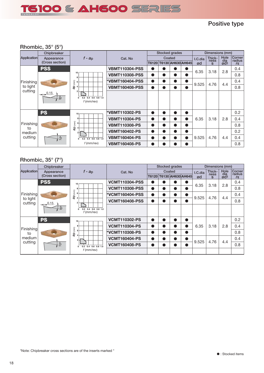![](_page_17_Picture_0.jpeg)

## **Positive type**

## **Rhombic, 35° (5°)**

|                                  | Chipbreaker     |                                                   | Stocked grades        |           |   |                               |           |         | Dimensions (mm) |                 |                         |
|----------------------------------|-----------------|---------------------------------------------------|-----------------------|-----------|---|-------------------------------|-----------|---------|-----------------|-----------------|-------------------------|
| Application                      | Appearance      | $f - a_p$                                         | Cat. No               | Coated    |   |                               |           | I.C.dia | Thick-<br>ness  | Hole<br>dia     | <b>Corner</b><br>radius |
|                                  | (Cross section) |                                                   |                       |           |   | T6120   T6130   AH630   AH645 |           | ød      | $\mathbf{s}$    | ød <sub>1</sub> | $r\epsilon$             |
|                                  | <b>PSS</b>      |                                                   | <b>VBMT110304-PSS</b> | $\bullet$ |   |                               |           | 6.35    | 3.18            | 2.8             | 0.4                     |
|                                  |                 | 10<br>8                                           | <b>VBMT110308-PSS</b> | $\bullet$ | ● | D                             |           |         |                 |                 | 0.8                     |
| Finishing<br>to light<br>cutting |                 | $\begin{bmatrix} 1 \\ 2 \end{bmatrix}$ 6          | *VBMT160404-PSS       | $\bullet$ | D | D                             | $\bullet$ | 9.525   | 4.76            | 4.4             | 0.4                     |
|                                  |                 | ąp                                                | <b>VBMT160408-PSS</b> | $\bullet$ |   | D                             |           |         |                 |                 | 0.8                     |
|                                  | .0.15<br>io     | $0.2$ 0.4 0.6 0.8 1.0<br>$\Omega$<br>$f$ (mm/rev) |                       |           |   |                               |           |         |                 |                 |                         |
|                                  | <b>PS</b>       | 10                                                | *VBMT110302-PS        | $\bullet$ | n | D                             | $\bullet$ |         |                 |                 | 0.2                     |
|                                  |                 | 8                                                 | <b>VBMT110304-PS</b>  | $\bullet$ | n | $\bullet$                     | $\bullet$ | 6.35    | 3.18            | 2.8             | 0.4                     |
| Finishing<br>to                  |                 | $\widehat{\mathsf{E}}$<br>Ф                       | <b>VBMT110308-PS</b>  | $\bullet$ | D | D                             | $\bullet$ |         |                 |                 | 0.8                     |
| medium                           |                 | $\overline{2}$                                    | <b>VBMT160402-PS</b>  | $\bullet$ | n | D                             | $\bullet$ |         |                 |                 | 0.2                     |
| cutting                          | 10 <sup>o</sup> | $0.2$ 0.4 0.6 0.8 1.0<br>$\mathbf{0}$             | <b>VBMT160404-PS</b>  | $\bullet$ |   | D                             | $\bullet$ | 9.525   | 4.76            | 4.4             | 0.4                     |
|                                  |                 | $f$ (mm/rev)                                      | <b>VBMT160408-PS</b>  | $\bullet$ |   | D                             | $\bullet$ |         |                 |                 | 0.8                     |

## **Rhombic, 35° (7°)**

|                     | Chipbreaker     |                                                   |                        | Stocked grades              |   |           |           | Dimensions (mm) |                |                               |                  |
|---------------------|-----------------|---------------------------------------------------|------------------------|-----------------------------|---|-----------|-----------|-----------------|----------------|-------------------------------|------------------|
| <b>Application</b>  | Appearance      | $f - ap$                                          | Cat. No                | Coated<br>T6130 AH630 AH645 |   |           |           | I.C.dia         | Thick-<br>ness | Hole<br>$\frac{d^{2}}{d^{2}}$ | Corner<br>radius |
|                     | (Cross section) |                                                   |                        | T6120                       |   |           |           | ød              | $\mathbf{s}$   |                               | $r\epsilon$      |
|                     | <b>PSS</b>      | 10                                                | <b>VCMT110304-PSS</b>  | v                           |   |           |           | 6.35            | 3.18           | 2.8                           | 0.4              |
|                     |                 | 8                                                 | <b>VCMT110308-PSS</b>  | 0                           | D | $\bullet$ | O         |                 |                |                               | 0.8              |
| Finishing           |                 | ap (mm)<br>6                                      | <b>*VCMT160404-PSS</b> | 0                           | Ð |           | $\bullet$ | 9.525           | 4.76           | 4.4                           | 0.4              |
| to light<br>cutting | 0.15<br>å       | $\Delta$<br>$0.2$ 0.4 0.6 0.8 1.0<br>$f$ (mm/rev) | <b>VCMT160408-PSS</b>  | O                           |   |           | ●         |                 |                |                               | 0.8              |
|                     |                 |                                                   |                        |                             |   |           |           |                 |                |                               |                  |
|                     | <b>PS</b>       | 10 <sub>1</sub>                                   | <b>VCMT110302-PS</b>   | 0                           | o | $\bullet$ | $\bullet$ |                 |                |                               | 0.2              |
| Finishing           |                 |                                                   | <b>VCMT110304-PS</b>   | $\bullet$                   | D | $\bullet$ | o         | 6.35            | 3.18           | 2.8                           | 0.4              |
| to                  |                 | ap <sub>(mm)</sub><br>$\boldsymbol{\Lambda}$      | *VCMT110308-PS         | O                           | D | $\bullet$ | $\bullet$ |                 |                |                               | 0.8              |
| medium              |                 |                                                   | <b>VCMT160404-PS</b>   | 0                           | D |           | O         | 9.525           | 4.76           | 4.4                           | 0.4              |
| cutting             | 10 <sub>o</sub> | $0.4$ 0.6 0.8 1.0<br>0.2<br>0                     | <b>VCMT160408-PS</b>   | o                           |   |           |           |                 |                |                               | 0.8              |
|                     |                 | $f$ (mm/rev)                                      |                        |                             |   |           |           |                 |                |                               |                  |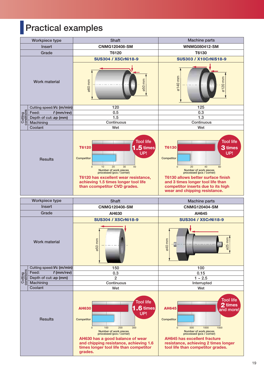# **Practical examples**

![](_page_18_Figure_1.jpeg)